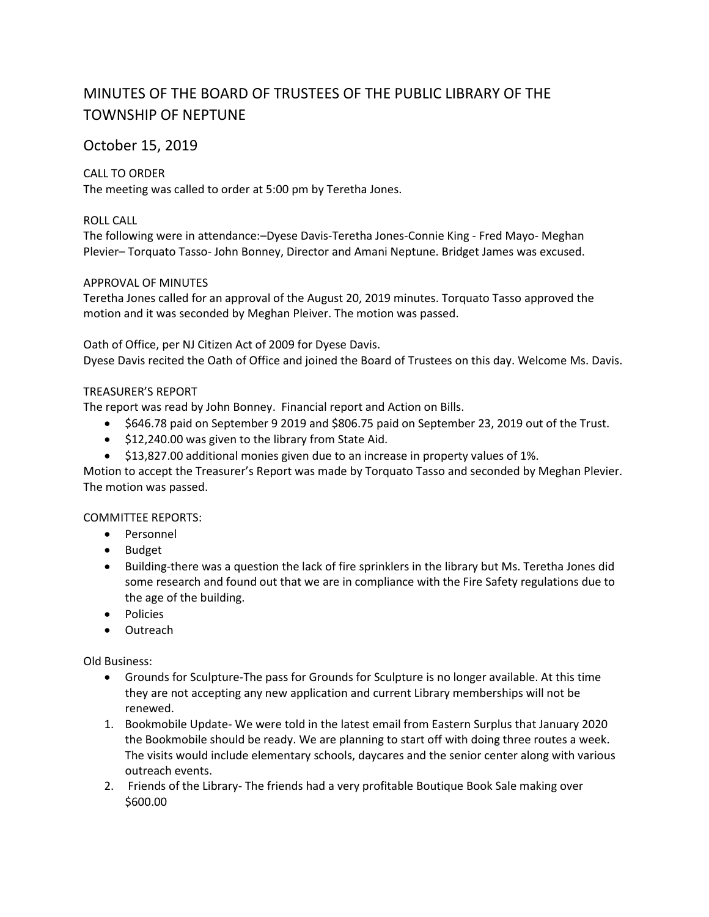# MINUTES OF THE BOARD OF TRUSTEES OF THE PUBLIC LIBRARY OF THE TOWNSHIP OF NEPTUNE

# October 15, 2019

# CALL TO ORDER

The meeting was called to order at 5:00 pm by Teretha Jones.

# ROLL CALL

The following were in attendance:–Dyese Davis-Teretha Jones-Connie King - Fred Mayo- Meghan Plevier– Torquato Tasso- John Bonney, Director and Amani Neptune. Bridget James was excused.

# APPROVAL OF MINUTES

Teretha Jones called for an approval of the August 20, 2019 minutes. Torquato Tasso approved the motion and it was seconded by Meghan Pleiver. The motion was passed.

## Oath of Office, per NJ Citizen Act of 2009 for Dyese Davis.

Dyese Davis recited the Oath of Office and joined the Board of Trustees on this day. Welcome Ms. Davis.

## TREASURER'S REPORT

The report was read by John Bonney. Financial report and Action on Bills.

- \$646.78 paid on September 9 2019 and \$806.75 paid on September 23, 2019 out of the Trust.
- $\bullet$  \$12,240.00 was given to the library from State Aid.
- \$13,827.00 additional monies given due to an increase in property values of 1%.

Motion to accept the Treasurer's Report was made by Torquato Tasso and seconded by Meghan Plevier. The motion was passed.

COMMITTEE REPORTS:

- Personnel
- Budget
- Building-there was a question the lack of fire sprinklers in the library but Ms. Teretha Jones did some research and found out that we are in compliance with the Fire Safety regulations due to the age of the building.
- Policies
- Outreach

Old Business:

- Grounds for Sculpture-The pass for Grounds for Sculpture is no longer available. At this time they are not accepting any new application and current Library memberships will not be renewed.
- 1. Bookmobile Update- We were told in the latest email from Eastern Surplus that January 2020 the Bookmobile should be ready. We are planning to start off with doing three routes a week. The visits would include elementary schools, daycares and the senior center along with various outreach events.
- 2. Friends of the Library- The friends had a very profitable Boutique Book Sale making over \$600.00